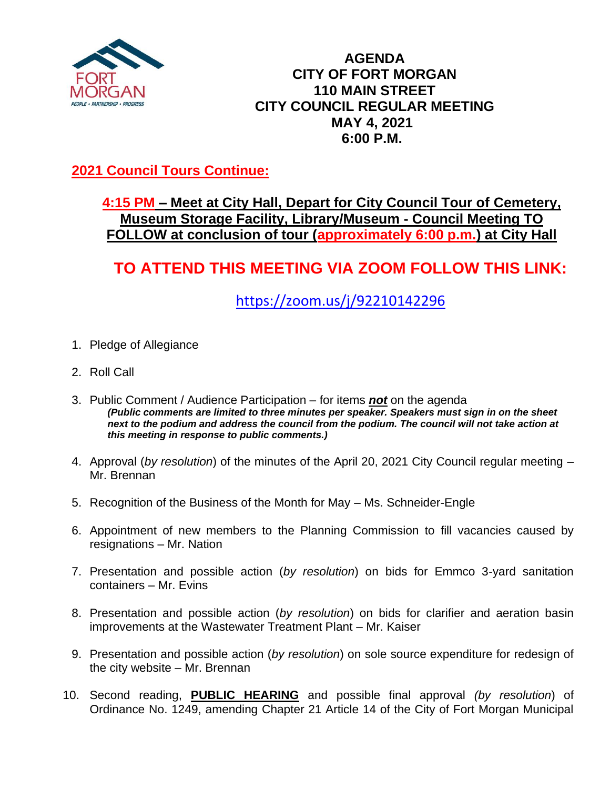

## **AGENDA CITY OF FORT MORGAN 110 MAIN STREET CITY COUNCIL REGULAR MEETING MAY 4, 2021 6:00 P.M.**

# **2021 Council Tours Continue:**

## **4:15 PM – Meet at City Hall, Depart for City Council Tour of Cemetery, Museum Storage Facility, Library/Museum - Council Meeting TO FOLLOW at conclusion of tour (approximately 6:00 p.m.) at City Hall**

# **TO ATTEND THIS MEETING VIA ZOOM FOLLOW THIS LINK:**

<https://zoom.us/j/92210142296>

- 1. Pledge of Allegiance
- 2. Roll Call
- 3. Public Comment / Audience Participation for items *not* on the agenda *(Public comments are limited to three minutes per speaker. Speakers must sign in on the sheet*  next to the podium and address the council from the podium. The council will not take action at *this meeting in response to public comments.)*
- 4. Approval (*by resolution*) of the minutes of the April 20, 2021 City Council regular meeting Mr. Brennan
- 5. Recognition of the Business of the Month for May Ms. Schneider-Engle
- 6. Appointment of new members to the Planning Commission to fill vacancies caused by resignations – Mr. Nation
- 7. Presentation and possible action (*by resolution*) on bids for Emmco 3-yard sanitation containers – Mr. Evins
- 8. Presentation and possible action (*by resolution*) on bids for clarifier and aeration basin improvements at the Wastewater Treatment Plant – Mr. Kaiser
- 9. Presentation and possible action (*by resolution*) on sole source expenditure for redesign of the city website – Mr. Brennan
- 10. Second reading, **PUBLIC HEARING** and possible final approval *(by resolution*) of Ordinance No. 1249, amending Chapter 21 Article 14 of the City of Fort Morgan Municipal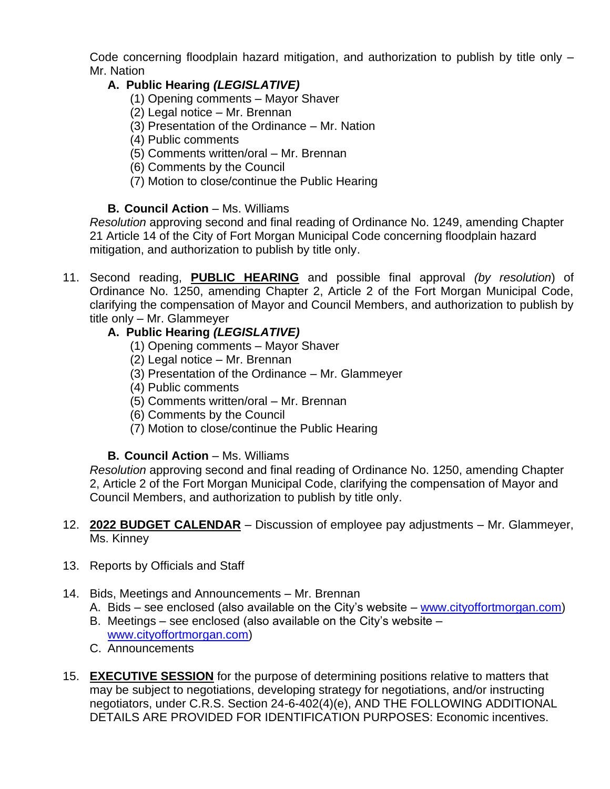Code concerning floodplain hazard mitigation, and authorization to publish by title only – Mr. Nation

#### **A. Public Hearing** *(LEGISLATIVE)*

- (1) Opening comments Mayor Shaver
- (2) Legal notice Mr. Brennan
- (3) Presentation of the Ordinance Mr. Nation
- (4) Public comments
- (5) Comments written/oral Mr. Brennan
- (6) Comments by the Council
- (7) Motion to close/continue the Public Hearing

#### **B. Council Action – Ms. Williams**

*Resolution* approving second and final reading of Ordinance No. 1249, amending Chapter 21 Article 14 of the City of Fort Morgan Municipal Code concerning floodplain hazard mitigation, and authorization to publish by title only.

11. Second reading, **PUBLIC HEARING** and possible final approval *(by resolution*) of Ordinance No. 1250, amending Chapter 2, Article 2 of the Fort Morgan Municipal Code, clarifying the compensation of Mayor and Council Members, and authorization to publish by title only – Mr. Glammeyer

### **A. Public Hearing** *(LEGISLATIVE)*

- (1) Opening comments Mayor Shaver
- (2) Legal notice Mr. Brennan
- (3) Presentation of the Ordinance Mr. Glammeyer
- (4) Public comments
- (5) Comments written/oral Mr. Brennan
- (6) Comments by the Council
- (7) Motion to close/continue the Public Hearing

#### **B. Council Action – Ms. Williams**

*Resolution* approving second and final reading of Ordinance No. 1250, amending Chapter 2, Article 2 of the Fort Morgan Municipal Code, clarifying the compensation of Mayor and Council Members, and authorization to publish by title only.

- 12. **2022 BUDGET CALENDAR** Discussion of employee pay adjustments Mr. Glammeyer, Ms. Kinney
- 13. Reports by Officials and Staff
- 14. Bids, Meetings and Announcements Mr. Brennan
	- A. Bids see enclosed (also available on the City's website [www.cityoffortmorgan.com\)](http://www.cityoffortmorgan.com/)
	- B. Meetings see enclosed (also available on the City's website  $$ [www.cityoffortmorgan.com\)](http://www.cityoffortmorgan.com/)
	- C. Announcements
- 15. **EXECUTIVE SESSION** for the purpose of determining positions relative to matters that may be subject to negotiations, developing strategy for negotiations, and/or instructing negotiators, under C.R.S. Section 24-6-402(4)(e), AND THE FOLLOWING ADDITIONAL DETAILS ARE PROVIDED FOR IDENTIFICATION PURPOSES: Economic incentives.